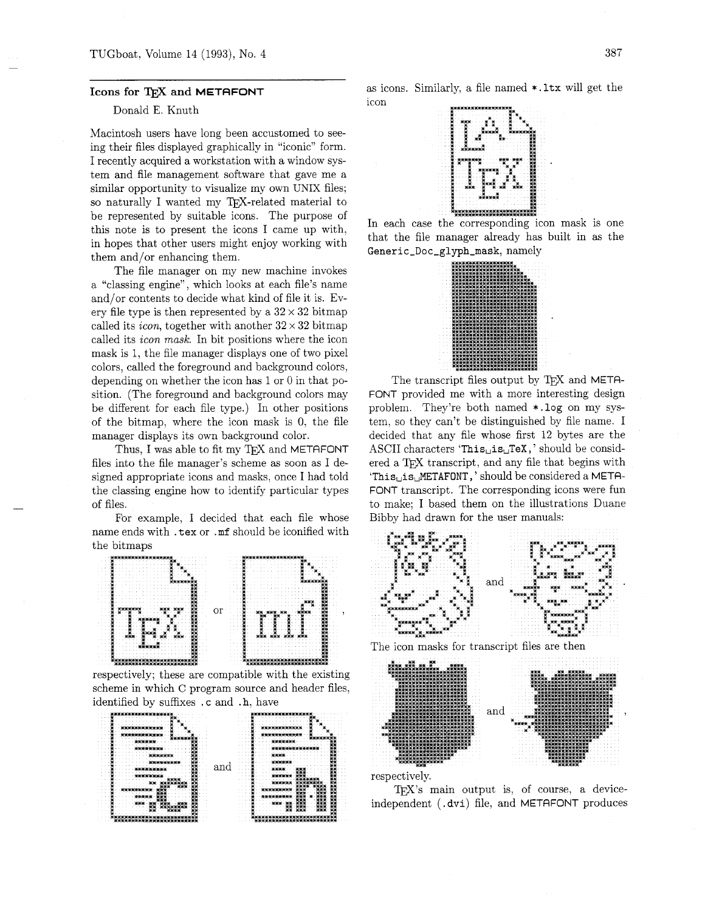## Icons for TFX and METAFONT

## Donald E. Knuth

Macintosh users have long been accustomed to seeing their files displayed graphically in "iconic" form. I recently acquired a workstation with a window system and file management software that gave me a similar opportunity to visualize my own UNIX files; so naturally I wanted my TEX-related material to be represented by suitable icons. The purpose of this note is to present the icons I came up with, in hopes that other users might enjoy working with them and/or enhancing them.

The file manager on my new machine invokes a "classing engine", which looks at each file's name and/or contents to decide what kind of file it is. Every file type is then represented by a  $32 \times 32$  bitmap called its *icon*, together with another  $32 \times 32$  bitmap called its *icon mask*. In bit positions where the icon mask is 1, the file manager displays one of two pixel colors, called the foreground and background colors, depending on whether the icon has 1 or 0 in that position. (The foreground and background colors may be different for each file type.) In other positions of the bitmap, where the icon mask is 0, the file manager displays its own background color.

Thus, I was able to fit my TFX and METAFONT files into the file manager's scheme as soon as I designed appropriate icons and masks, once I had told the classing engine how to identify particular types of files.

For example, I decided that each file whose name ends with .tex or .mf should be iconified with the bitmaps



respectively; these are compatible with the existing scheme in which C program source and header files, identified by suffixes .c and .h, have



as icons. Similarly, a file named \*.1tx will get the icon



In each case the corresponding icon mask is one that the file manager already has built in as the Generic\_Doc\_glyph\_mask, namely



The transcript files output by TEX and META-FONT provided me with a more interesting design problem. They're both named \*.log on my system, so they can't be distinguished by file name. I decided that any file whose first 12 bytes are the ASCII characters 'This<sub>u</sub>is<sub>u</sub>TeX,' should be considered a TFX transcript, and any file that begins with 'This<sub>Lis</sub> METAFONT,' should be considered a META-FONT transcript. The corresponding icons were fun to make: I based them on the illustrations Duane Bibby had drawn for the user manuals:







TEX's main output is, of course, a deviceindependent (.dvi) file, and METAFONT produces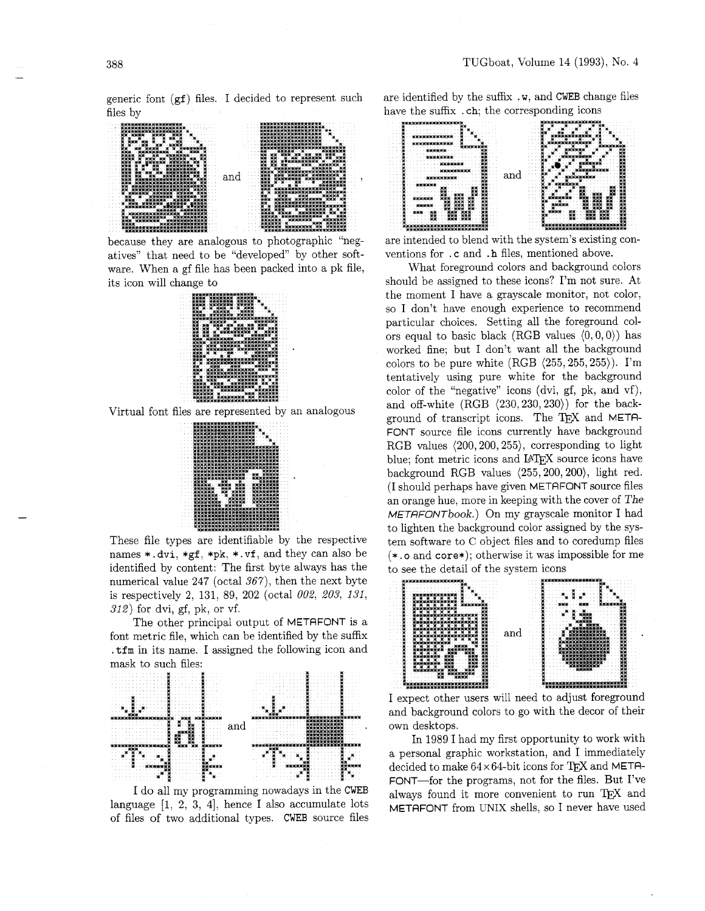generic font (gf) files. I decided to represent such files by



because they are analogous to photographic "negatives" that need to be "developed" by other software. When a gf file has been packed into a pk file, its icon will change to



Virtual font files are represented by an analogous



These file types are identifiable by the respective names \*.dvi, \*gf, \*pk, \*.vf, and they can also be identified by content: The first byte always has the numerical value 247 (octal  $367$ ), then the next byte is respectively 2, 131, 89, 202 (octal 002, 203, 131,  $312$ ) for dvi, gf, pk, or vf.

The other principal output of METAFONT is a font metric file, which can be identified by the suffix .tfm in its name. I assigned the following icon and mask to such files:



I do all my programming nowadays in the CWEB language  $[1, 2, 3, 4]$ , hence I also accumulate lots of files of two additional types. CWEB source files

are identified by the suffix .w, and CWEB change files have the suffix .ch; the corresponding icons



are intended to blend with the system's existing conventions for .c and .h files, mentioned above.

What foreground colors and background colors should be assigned to these icons? I'm not sure. At the moment I have a grayscale monitor, not color, so I don't have enough experience to recommend particular choices. Setting all the foreground colors equal to basic black (RGB values  $(0,0,0)$ ) has worked fine; but I don't want all the background colors to be pure white  $(RGB \langle 255, 255, 255 \rangle)$ . I'm tentatively using pure white for the background color of the "negative" icons (dvi, gf, pk, and vf), and off-white  $(RGB \langle 230, 230, 230 \rangle)$  for the background of transcript icons. The TEX and META-FONT source file icons currently have background RGB values  $(200, 200, 255)$ , corresponding to light blue: font metric icons and LATFX source icons have background RGB values  $\langle 255, 200, 200 \rangle$ , light red. (I should perhaps have given METAFONT source files an orange hue, more in keeping with the cover of The METAFONTbook.) On my grayscale monitor I had to lighten the background color assigned by the system software to C object files and to coredump files  $(*. \text{o and core*})$ ; otherwise it was impossible for me to see the detail of the system icons



I expect other users will need to adjust foreground and background colors to go with the decor of their own desktops.

In 1989 I had my first opportunity to work with a personal graphic workstation, and I immediately decided to make  $64 \times 64$ -bit icons for TEX and META-FONT-for the programs, not for the files. But I've always found it more convenient to run TEX and METAFONT from UNIX shells, so I never have used